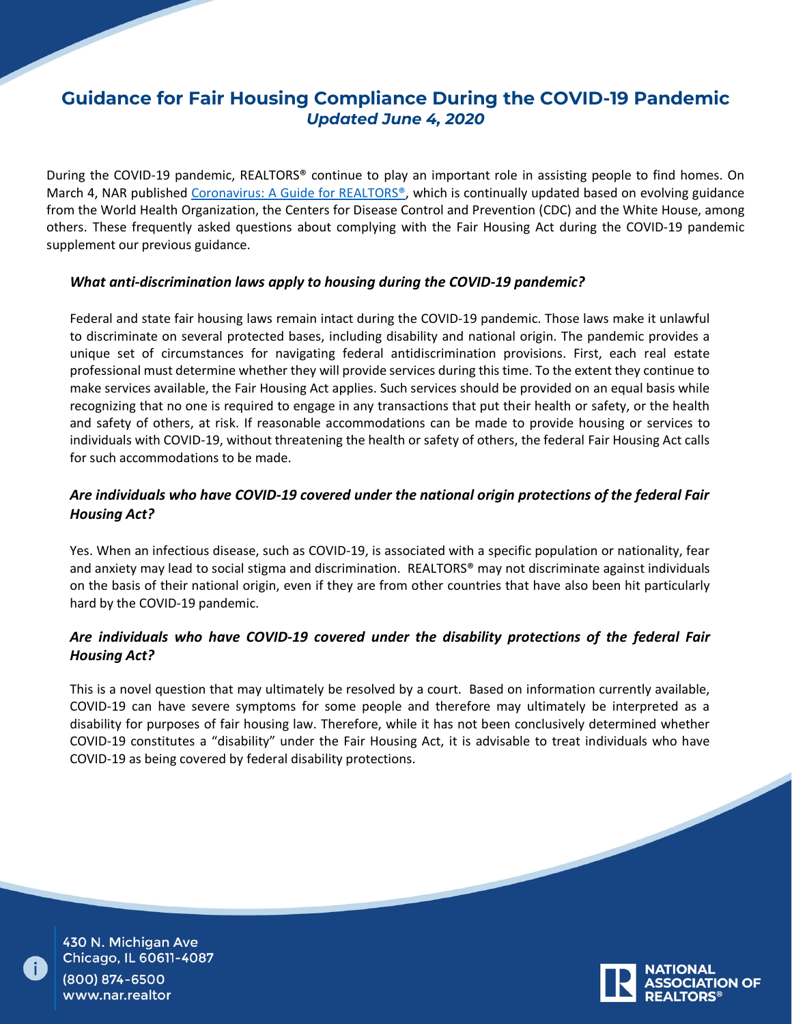# **Guidance for Fair Housing Compliance During the COVID-19 Pandemic**  *Updated June 4, 2020*

During the COVID-19 pandemic, REALTORS® continue to play an important role in assisting people to find homes. On March 4, NAR published [Coronavirus: A Guide for REALTORS®](https://www.nar.realtor/coronavirus-a-guide-for-realtors), which is continually updated based on evolving guidance from the World Health Organization, the Centers for Disease Control and Prevention (CDC) and the White House, among others. These frequently asked questions about complying with the Fair Housing Act during the COVID-19 pandemic supplement our previous guidance.

#### *What anti-discrimination laws apply to housing during the COVID-19 pandemic?*

Federal and state fair housing laws remain intact during the COVID-19 pandemic. Those laws make it unlawful to discriminate on several protected bases, including disability and national origin. The pandemic provides a unique set of circumstances for navigating federal antidiscrimination provisions. First, each real estate professional must determine whether they will provide services during this time. To the extent they continue to make services available, the Fair Housing Act applies. Such services should be provided on an equal basis while recognizing that no one is required to engage in any transactions that put their health or safety, or the health and safety of others, at risk. If reasonable accommodations can be made to provide housing or services to individuals with COVID-19, without threatening the health or safety of others, the federal Fair Housing Act calls for such accommodations to be made.

# *Are individuals who have COVID-19 covered under the national origin protections of the federal Fair Housing Act?*

Yes. When an infectious disease, such as COVID-19, is associated with a specific population or nationality, fear and anxiety may lead to social stigma and discrimination. REALTORS® may not discriminate against individuals on the basis of their national origin, even if they are from other countries that have also been hit particularly hard by the COVID-19 pandemic.

## *Are individuals who have COVID-19 covered under the disability protections of the federal Fair Housing Act?*

This is a novel question that may ultimately be resolved by a court. Based on information currently available, COVID-19 can have severe symptoms for some people and therefore may ultimately be interpreted as a disability for purposes of fair housing law. Therefore, while it has not been conclusively determined whether COVID-19 constitutes a "disability" under the Fair Housing Act, it is advisable to treat individuals who have COVID-19 as being covered by federal disability protections.

430 N. Michigan Ave Chicago, IL 60611-4087 (800) 874-6500 www.nar.realtor

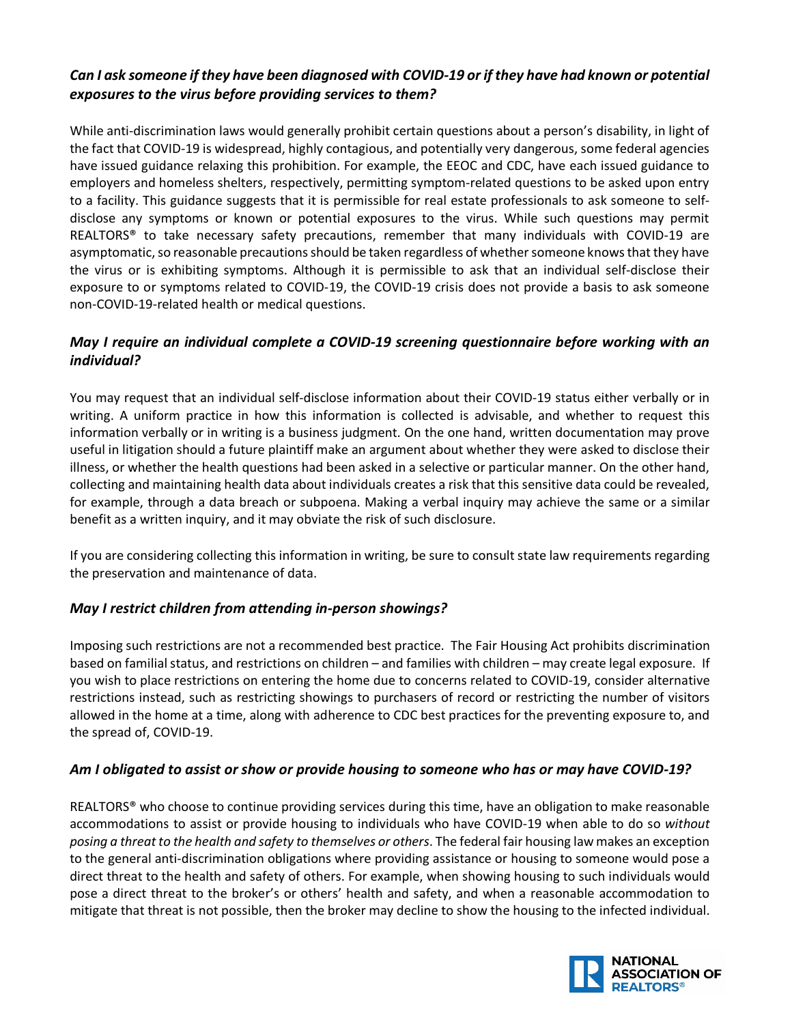## *Can I ask someone if they have been diagnosed with COVID-19 or if they have had known or potential exposures to the virus before providing services to them?*

While anti-discrimination laws would generally prohibit certain questions about a person's disability, in light of the fact that COVID-19 is widespread, highly contagious, and potentially very dangerous, some federal agencies have issued guidance relaxing this prohibition. For example, the EEOC and CDC, have each issued guidance to employers and homeless shelters, respectively, permitting symptom-related questions to be asked upon entry to a facility. This guidance suggests that it is permissible for real estate professionals to ask someone to selfdisclose any symptoms or known or potential exposures to the virus. While such questions may permit REALTORS® to take necessary safety precautions, remember that many individuals with COVID-19 are asymptomatic, so reasonable precautions should be taken regardless of whether someone knows that they have the virus or is exhibiting symptoms. Although it is permissible to ask that an individual self-disclose their exposure to or symptoms related to COVID-19, the COVID-19 crisis does not provide a basis to ask someone non-COVID-19-related health or medical questions.

## *May I require an individual complete a COVID-19 screening questionnaire before working with an individual?*

You may request that an individual self-disclose information about their COVID-19 status either verbally or in writing. A uniform practice in how this information is collected is advisable, and whether to request this information verbally or in writing is a business judgment. On the one hand, written documentation may prove useful in litigation should a future plaintiff make an argument about whether they were asked to disclose their illness, or whether the health questions had been asked in a selective or particular manner. On the other hand, collecting and maintaining health data about individuals creates a risk that this sensitive data could be revealed, for example, through a data breach or subpoena. Making a verbal inquiry may achieve the same or a similar benefit as a written inquiry, and it may obviate the risk of such disclosure.

If you are considering collecting this information in writing, be sure to consult state law requirements regarding the preservation and maintenance of data.

#### *May I restrict children from attending in-person showings?*

Imposing such restrictions are not a recommended best practice. The Fair Housing Act prohibits discrimination based on familial status, and restrictions on children – and families with children – may create legal exposure. If you wish to place restrictions on entering the home due to concerns related to COVID-19, consider alternative restrictions instead, such as restricting showings to purchasers of record or restricting the number of visitors allowed in the home at a time, along with adherence to CDC best practices for the preventing exposure to, and the spread of, COVID-19.

#### *Am I obligated to assist or show or provide housing to someone who has or may have COVID-19?*

REALTORS<sup>®</sup> who choose to continue providing services during this time, have an obligation to make reasonable accommodations to assist or provide housing to individuals who have COVID-19 when able to do so *without posing a threat to the health and safety to themselves or others*. The federal fair housing law makes an exception to the general anti-discrimination obligations where providing assistance or housing to someone would pose a direct threat to the health and safety of others. For example, when showing housing to such individuals would pose a direct threat to the broker's or others' health and safety, and when a reasonable accommodation to mitigate that threat is not possible, then the broker may decline to show the housing to the infected individual.

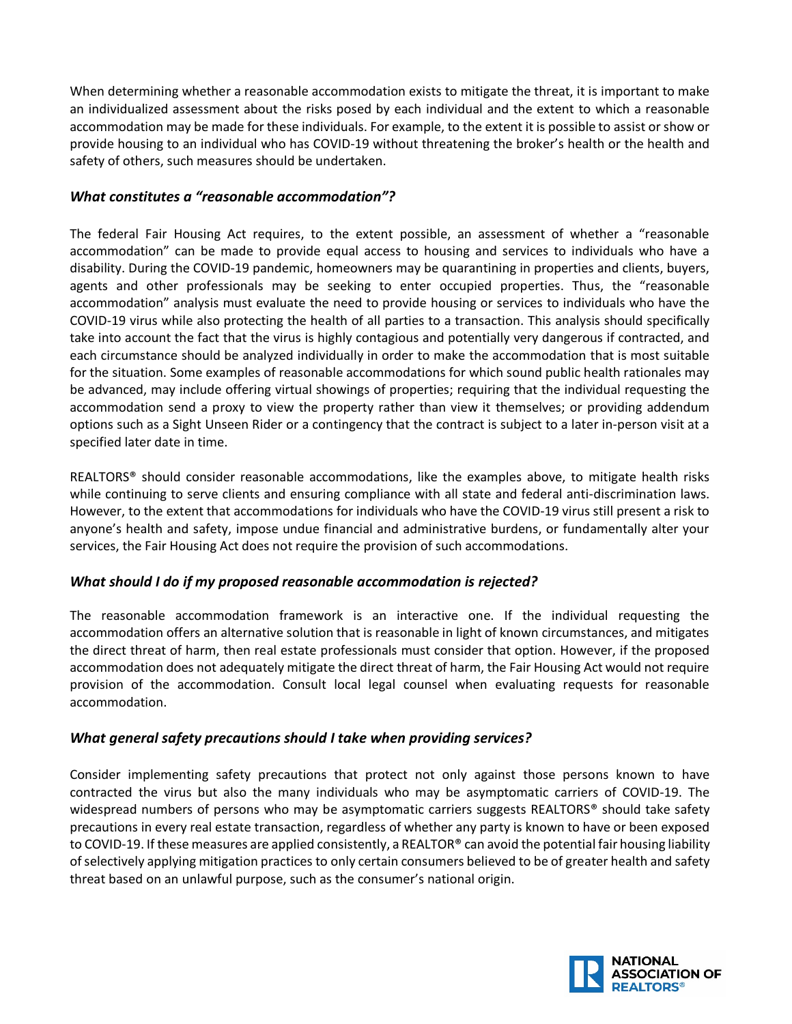When determining whether a reasonable accommodation exists to mitigate the threat, it is important to make an individualized assessment about the risks posed by each individual and the extent to which a reasonable accommodation may be made for these individuals. For example, to the extent it is possible to assist or show or provide housing to an individual who has COVID-19 without threatening the broker's health or the health and safety of others, such measures should be undertaken.

### *What constitutes a "reasonable accommodation"?*

The federal Fair Housing Act requires, to the extent possible, an assessment of whether a "reasonable accommodation" can be made to provide equal access to housing and services to individuals who have a disability. During the COVID-19 pandemic, homeowners may be quarantining in properties and clients, buyers, agents and other professionals may be seeking to enter occupied properties. Thus, the "reasonable accommodation" analysis must evaluate the need to provide housing or services to individuals who have the COVID-19 virus while also protecting the health of all parties to a transaction. This analysis should specifically take into account the fact that the virus is highly contagious and potentially very dangerous if contracted, and each circumstance should be analyzed individually in order to make the accommodation that is most suitable for the situation. Some examples of reasonable accommodations for which sound public health rationales may be advanced, may include offering virtual showings of properties; requiring that the individual requesting the accommodation send a proxy to view the property rather than view it themselves; or providing addendum options such as a Sight Unseen Rider or a contingency that the contract is subject to a later in-person visit at a specified later date in time.

REALTORS® should consider reasonable accommodations, like the examples above, to mitigate health risks while continuing to serve clients and ensuring compliance with all state and federal anti-discrimination laws. However, to the extent that accommodations for individuals who have the COVID-19 virus still present a risk to anyone's health and safety, impose undue financial and administrative burdens, or fundamentally alter your services, the Fair Housing Act does not require the provision of such accommodations.

#### *What should I do if my proposed reasonable accommodation is rejected?*

The reasonable accommodation framework is an interactive one. If the individual requesting the accommodation offers an alternative solution that is reasonable in light of known circumstances, and mitigates the direct threat of harm, then real estate professionals must consider that option. However, if the proposed accommodation does not adequately mitigate the direct threat of harm, the Fair Housing Act would not require provision of the accommodation. Consult local legal counsel when evaluating requests for reasonable accommodation.

#### *What general safety precautions should I take when providing services?*

Consider implementing safety precautions that protect not only against those persons known to have contracted the virus but also the many individuals who may be asymptomatic carriers of COVID-19. The widespread numbers of persons who may be asymptomatic carriers suggests REALTORS® should take safety precautions in every real estate transaction, regardless of whether any party is known to have or been exposed to COVID-19. If these measures are applied consistently, a REALTOR<sup>®</sup> can avoid the potential fair housing liability of selectively applying mitigation practices to only certain consumers believed to be of greater health and safety threat based on an unlawful purpose, such as the consumer's national origin.